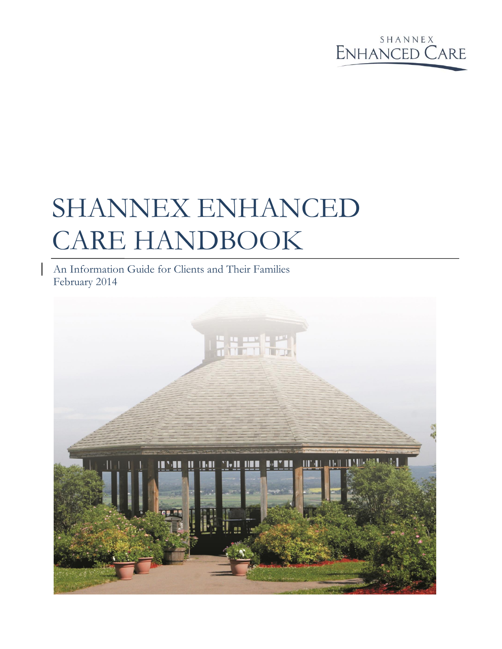

# SHANNEX ENHANCED CARE HANDBOOK

An Information Guide for Clients and Their Families February 2014

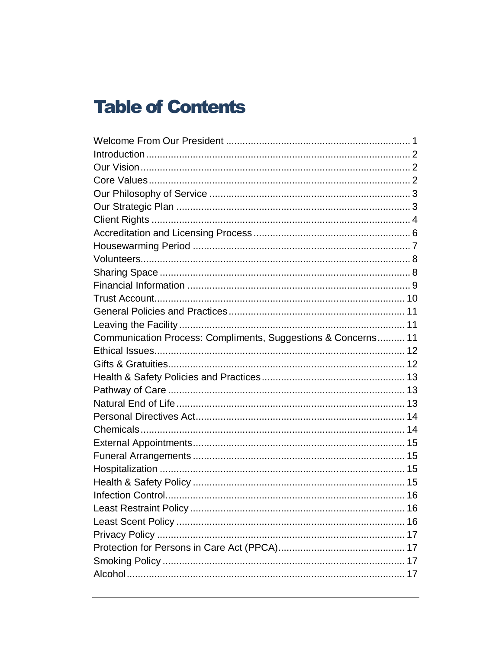## **Table of Contents**

| Communication Process: Compliments, Suggestions & Concerns 11 |  |
|---------------------------------------------------------------|--|
|                                                               |  |
|                                                               |  |
|                                                               |  |
|                                                               |  |
|                                                               |  |
|                                                               |  |
|                                                               |  |
|                                                               |  |
|                                                               |  |
|                                                               |  |
|                                                               |  |
|                                                               |  |
|                                                               |  |
|                                                               |  |
|                                                               |  |
|                                                               |  |
|                                                               |  |
|                                                               |  |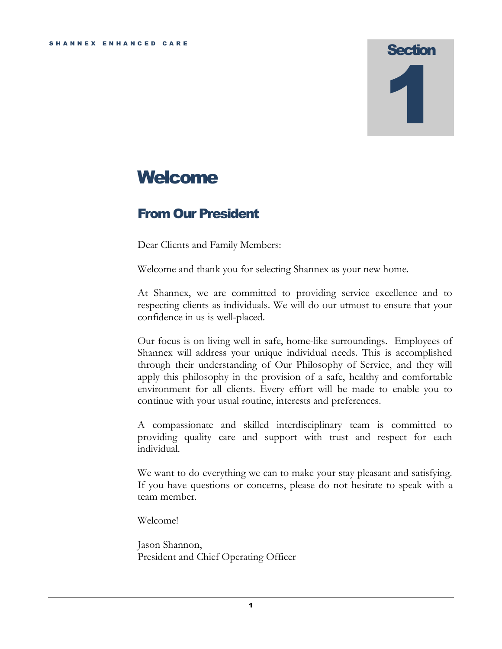## **Welcome**

## <span id="page-3-0"></span>From Our President

Dear Clients and Family Members:

Welcome and thank you for selecting Shannex as your new home.

At Shannex, we are committed to providing service excellence and to respecting clients as individuals. We will do our utmost to ensure that your confidence in us is well-placed.

Our focus is on living well in safe, home-like surroundings. Employees of Shannex will address your unique individual needs. This is accomplished through their understanding of Our Philosophy of Service, and they will apply this philosophy in the provision of a safe, healthy and comfortable environment for all clients. Every effort will be made to enable you to continue with your usual routine, interests and preferences.

A compassionate and skilled interdisciplinary team is committed to providing quality care and support with trust and respect for each individual.

We want to do everything we can to make your stay pleasant and satisfying. If you have questions or concerns, please do not hesitate to speak with a team member.

Welcome!

Jason Shannon, President and Chief Operating Officer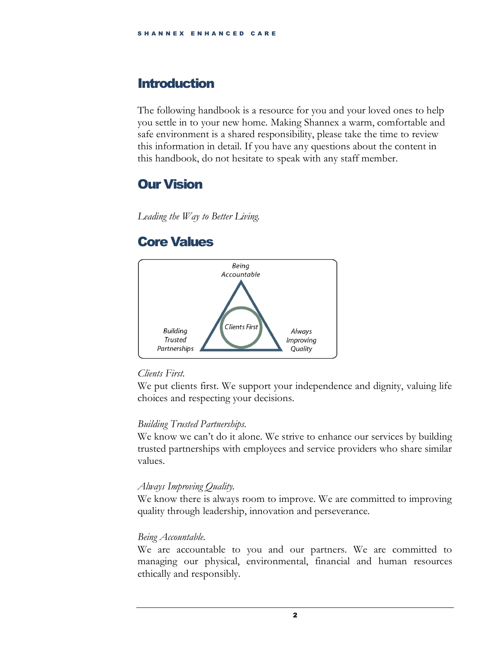## <span id="page-4-0"></span>**Introduction**

The following handbook is a resource for you and your loved ones to help you settle in to your new home. Making Shannex a warm, comfortable and safe environment is a shared responsibility, please take the time to review this information in detail. If you have any questions about the content in this handbook, do not hesitate to speak with any staff member.

## <span id="page-4-1"></span>Our Vision

*Leading the Way to Better Living.* 

## <span id="page-4-2"></span>Core Values



#### *Clients First.*

We put clients first. We support your independence and dignity, valuing life choices and respecting your decisions.

#### *Building Trusted Partnerships.*

We know we can't do it alone. We strive to enhance our services by building trusted partnerships with employees and service providers who share similar values.

#### *Always Improving Quality.*

We know there is always room to improve. We are committed to improving quality through leadership, innovation and perseverance.

#### *Being Accountable.*

We are accountable to you and our partners. We are committed to managing our physical, environmental, financial and human resources ethically and responsibly.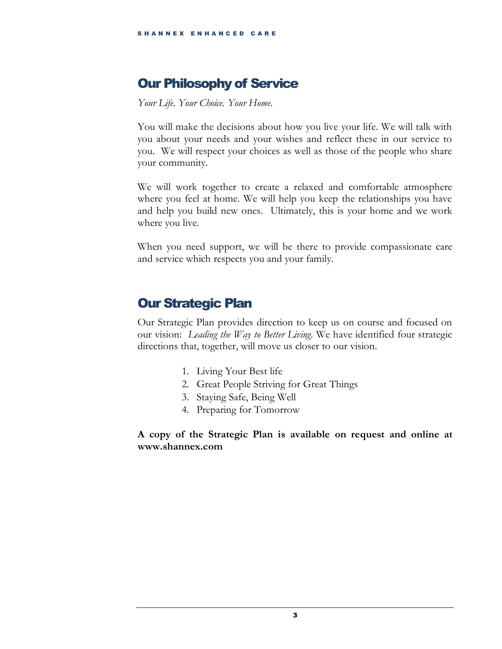## <span id="page-5-0"></span>Our Philosophy of Service

*Your Life. Your Choice. Your Home.*

You will make the decisions about how you live your life. We will talk with you about your needs and your wishes and reflect these in our service to you. We will respect your choices as well as those of the people who share your community.

We will work together to create a relaxed and comfortable atmosphere where you feel at home. We will help you keep the relationships you have and help you build new ones. Ultimately, this is your home and we work where you live.

When you need support, we will be there to provide compassionate care and service which respects you and your family.

### <span id="page-5-1"></span>Our Strategic Plan

Our Strategic Plan provides direction to keep us on course and focused on our vision: *Leading the Way to Better Living*. We have identified four strategic directions that, together, will move us closer to our vision.

- 1. Living Your Best life
- 2. Great People Striving for Great Things
- 3. Staying Safe, Being Well
- 4. Preparing for Tomorrow

**A copy of the Strategic Plan is available on request and online at www.shannex.com**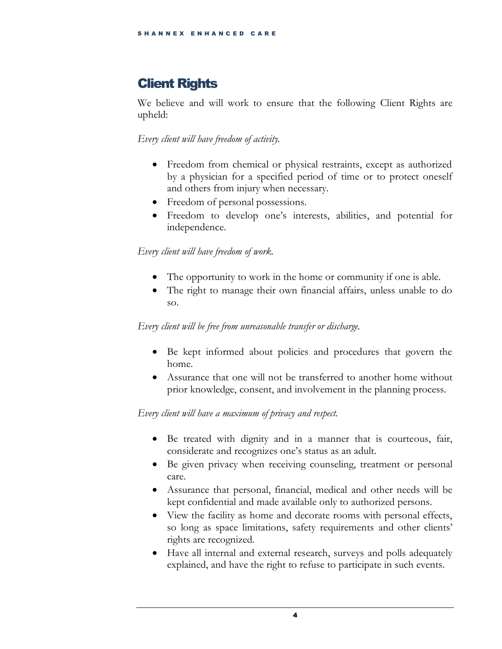## <span id="page-6-0"></span>Client Rights

We believe and will work to ensure that the following Client Rights are upheld:

*Every client will have freedom of activity.*

- Freedom from chemical or physical restraints, except as authorized by a physician for a specified period of time or to protect oneself and others from injury when necessary.
- Freedom of personal possessions.
- Freedom to develop one's interests, abilities, and potential for independence.

*Every client will have freedom of work.*

- The opportunity to work in the home or community if one is able.
- The right to manage their own financial affairs, unless unable to do so.

*Every client will be free from unreasonable transfer or discharge.*

- Be kept informed about policies and procedures that govern the home.
- Assurance that one will not be transferred to another home without prior knowledge, consent, and involvement in the planning process.

#### *Every client will have a maximum of privacy and respect.*

- Be treated with dignity and in a manner that is courteous, fair, considerate and recognizes one's status as an adult.
- Be given privacy when receiving counseling, treatment or personal care.
- Assurance that personal, financial, medical and other needs will be kept confidential and made available only to authorized persons.
- View the facility as home and decorate rooms with personal effects, so long as space limitations, safety requirements and other clients' rights are recognized.
- Have all internal and external research, surveys and polls adequately explained, and have the right to refuse to participate in such events.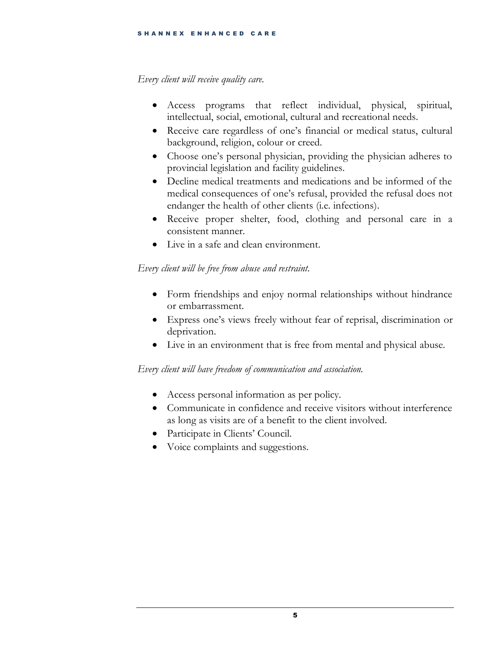#### *Every client will receive quality care.*

- Access programs that reflect individual, physical, spiritual, intellectual, social, emotional, cultural and recreational needs.
- Receive care regardless of one's financial or medical status, cultural background, religion, colour or creed.
- Choose one's personal physician, providing the physician adheres to provincial legislation and facility guidelines.
- Decline medical treatments and medications and be informed of the medical consequences of one's refusal, provided the refusal does not endanger the health of other clients (i.e. infections).
- Receive proper shelter, food, clothing and personal care in a consistent manner.
- Live in a safe and clean environment.

#### *Every client will be free from abuse and restraint.*

- Form friendships and enjoy normal relationships without hindrance or embarrassment.
- Express one's views freely without fear of reprisal, discrimination or deprivation.
- Live in an environment that is free from mental and physical abuse.

#### *Every client will have freedom of communication and association.*

- Access personal information as per policy.
- Communicate in confidence and receive visitors without interference as long as visits are of a benefit to the client involved.
- Participate in Clients' Council.
- Voice complaints and suggestions.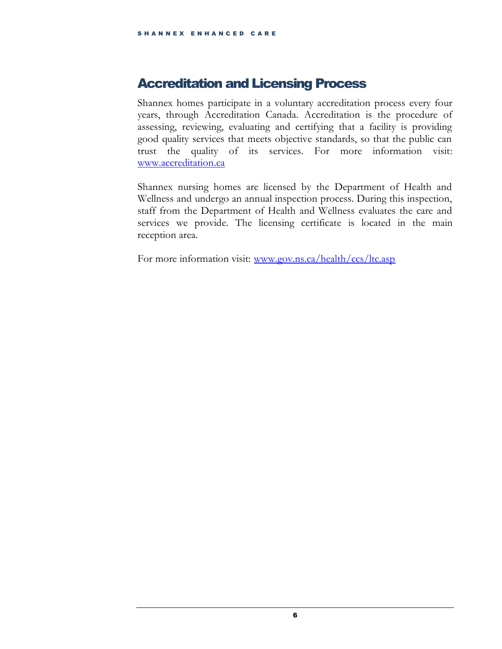### <span id="page-8-0"></span>Accreditation and Licensing Process

Shannex homes participate in a voluntary accreditation process every four years, through Accreditation Canada. Accreditation is the procedure of assessing, reviewing, evaluating and certifying that a facility is providing good quality services that meets objective standards, so that the public can trust the quality of its services. For more information visit: [www.accreditation.ca](http://www.accreditation.ca/)

Shannex nursing homes are licensed by the Department of Health and Wellness and undergo an annual inspection process. During this inspection, staff from the Department of Health and Wellness evaluates the care and services we provide. The licensing certificate is located in the main reception area.

For more information visit: [www.gov.ns.ca/health/ccs/ltc.asp](http://www.gov.ns.ca/health/ccs/ltc.asp)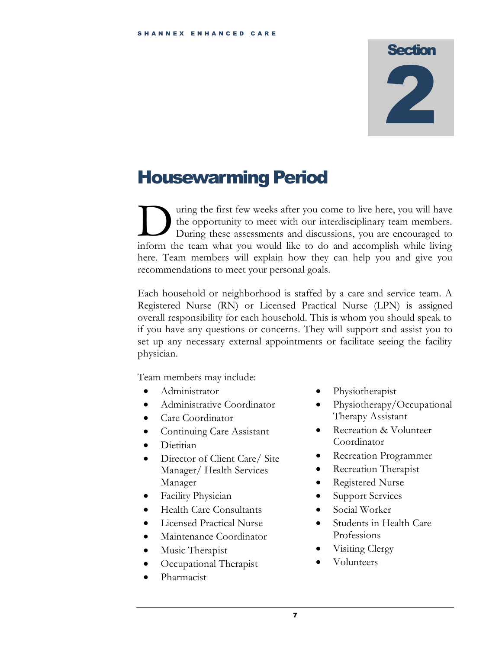## <span id="page-9-0"></span>Housewarming Period

uring the first few weeks after you come to live here, you will have the opportunity to meet with our interdisciplinary team members. During these assessments and discussions, you are encouraged to If the first few weeks after you come to live here, you will have the opportunity to meet with our interdisciplinary team members.<br>During these assessments and discussions, you are encouraged to inform the team what you wo here. Team members will explain how they can help you and give you recommendations to meet your personal goals.

Each household or neighborhood is staffed by a care and service team. A Registered Nurse (RN) or Licensed Practical Nurse (LPN) is assigned overall responsibility for each household. This is whom you should speak to if you have any questions or concerns. They will support and assist you to set up any necessary external appointments or facilitate seeing the facility physician.

Team members may include:

- Administrator
- Administrative Coordinator
- Care Coordinator
- Continuing Care Assistant
- Dietitian
- Director of Client Care/ Site Manager/ Health Services Manager
- Facility Physician
- Health Care Consultants
- Licensed Practical Nurse
- Maintenance Coordinator
- Music Therapist
- Occupational Therapist
- Pharmacist
- Physiotherapist
- Physiotherapy/Occupational Therapy Assistant
- Recreation & Volunteer Coordinator
- Recreation Programmer
- Recreation Therapist
- Registered Nurse
- Support Services
- Social Worker
- Students in Health Care Professions
- Visiting Clergy
- Volunteers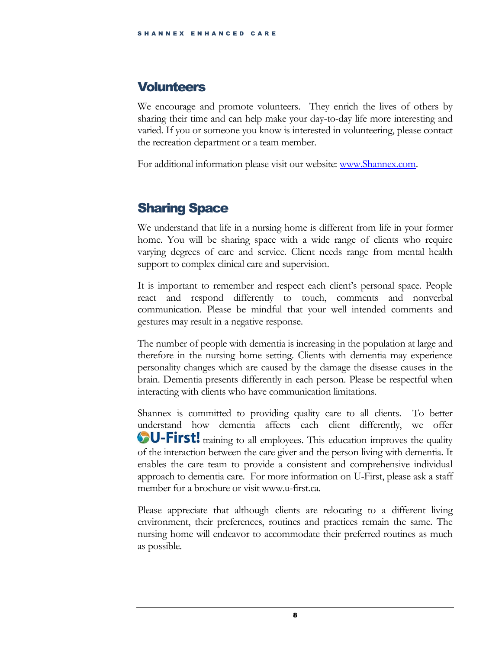### <span id="page-10-0"></span>**Volunteers**

We encourage and promote volunteers. They enrich the lives of others by sharing their time and can help make your day-to-day life more interesting and varied. If you or someone you know is interested in volunteering, please contact the recreation department or a team member.

For additional information please visit our website: [www.Shannex.com.](http://www.shannex.com/)

## <span id="page-10-1"></span>Sharing Space

We understand that life in a nursing home is different from life in your former home. You will be sharing space with a wide range of clients who require varying degrees of care and service. Client needs range from mental health support to complex clinical care and supervision.

It is important to remember and respect each client's personal space. People react and respond differently to touch, comments and nonverbal communication. Please be mindful that your well intended comments and gestures may result in a negative response.

The number of people with dementia is increasing in the population at large and therefore in the nursing home setting. Clients with dementia may experience personality changes which are caused by the damage the disease causes in the brain. Dementia presents differently in each person. Please be respectful when interacting with clients who have communication limitations.

Shannex is committed to providing quality care to all clients. To better understand how dementia affects each client differently, we offer **OU-First!** training to all employees. This education improves the quality of the interaction between the care giver and the person living with dementia. It enables the care team to provide a consistent and comprehensive individual approach to dementia care. For more information on U-First, please ask a staff member for a brochure or visit www.u-first.ca.

Please appreciate that although clients are relocating to a different living environment, their preferences, routines and practices remain the same. The nursing home will endeavor to accommodate their preferred routines as much as possible.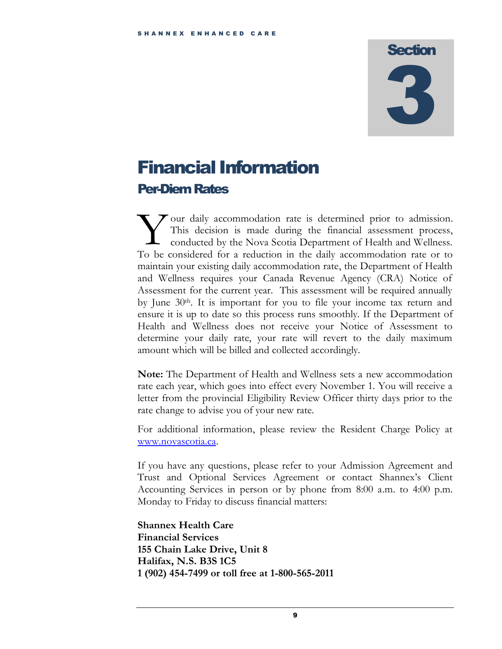## <span id="page-11-0"></span>Financial Information Per-Diem Rates

our daily accommodation rate is determined prior to admission. This decision is made during the financial assessment process, conducted by the Nova Scotia Department of Health and Wellness. To be considered for a reduction in the daily accommodation rate or to maintain your existing daily accommodation rate, the Department of Health and Wellness requires your Canada Revenue Agency (CRA) Notice of Assessment for the current year. This assessment will be required annually by June  $30<sup>th</sup>$ . It is important for you to file your income tax return and ensure it is up to date so this process runs smoothly. If the Department of Health and Wellness does not receive your Notice of Assessment to determine your daily rate, your rate will revert to the daily maximum amount which will be billed and collected accordingly. Y<br>To be

**Note:** The Department of Health and Wellness sets a new accommodation rate each year, which goes into effect every November 1. You will receive a letter from the provincial Eligibility Review Officer thirty days prior to the rate change to advise you of your new rate.

For additional information, please review the Resident Charge Policy at [www.novascotia.ca.](http://www.novascotia.ca/)

If you have any questions, please refer to your Admission Agreement and Trust and Optional Services Agreement or contact Shannex's Client Accounting Services in person or by phone from 8:00 a.m. to 4:00 p.m. Monday to Friday to discuss financial matters:

**Shannex Health Care Financial Services 155 Chain Lake Drive, Unit 8 Halifax, N.S. B3S 1C5 1 (902) 454-7499 or toll free at 1-800-565-2011**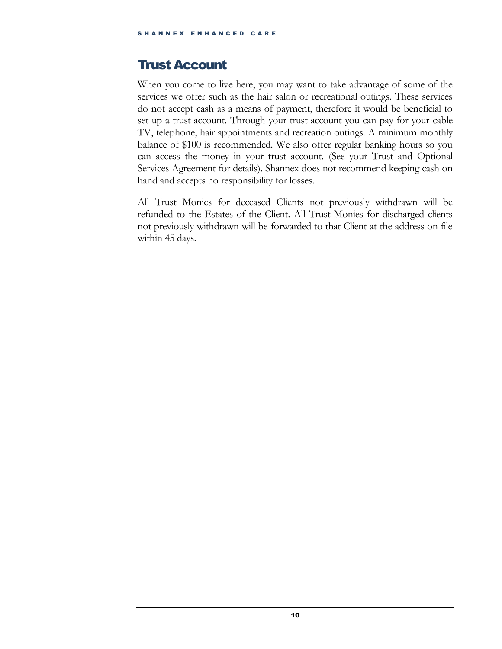## <span id="page-12-0"></span>Trust Account

When you come to live here, you may want to take advantage of some of the services we offer such as the hair salon or recreational outings. These services do not accept cash as a means of payment, therefore it would be beneficial to set up a trust account. Through your trust account you can pay for your cable TV, telephone, hair appointments and recreation outings. A minimum monthly balance of \$100 is recommended. We also offer regular banking hours so you can access the money in your trust account. (See your Trust and Optional Services Agreement for details). Shannex does not recommend keeping cash on hand and accepts no responsibility for losses.

All Trust Monies for deceased Clients not previously withdrawn will be refunded to the Estates of the Client. All Trust Monies for discharged clients not previously withdrawn will be forwarded to that Client at the address on file within 45 days.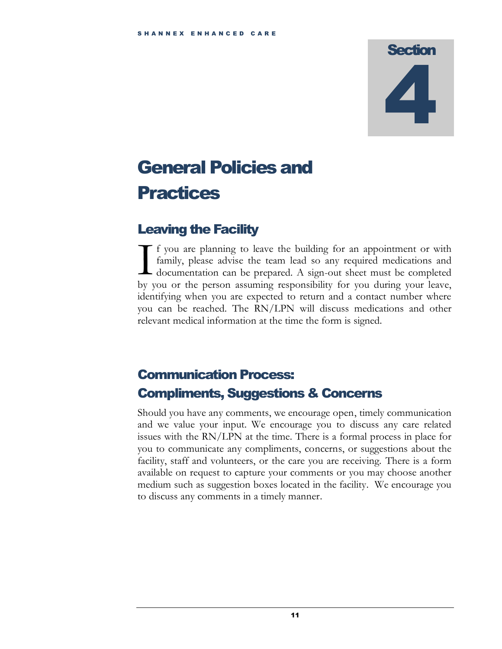# <span id="page-13-0"></span>General Policies and Practices

## <span id="page-13-1"></span>Leaving the Facility

f you are planning to leave the building for an appointment or with family, please advise the team lead so any required medications and documentation can be prepared. A sign-out sheet must be completed by you or the person assuming responsibility for you during your leave, identifying when you are expected to return and a contact number where you can be reached. The RN/LPN will discuss medications and other relevant medical information at the time the form is signed.  $\prod_{\text{bm}}$ 

## <span id="page-13-2"></span>Communication Process: Compliments, Suggestions & Concerns

Should you have any comments, we encourage open, timely communication and we value your input. We encourage you to discuss any care related issues with the RN/LPN at the time. There is a formal process in place for you to communicate any compliments, concerns, or suggestions about the facility, staff and volunteers, or the care you are receiving. There is a form available on request to capture your comments or you may choose another medium such as suggestion boxes located in the facility. We encourage you to discuss any comments in a timely manner.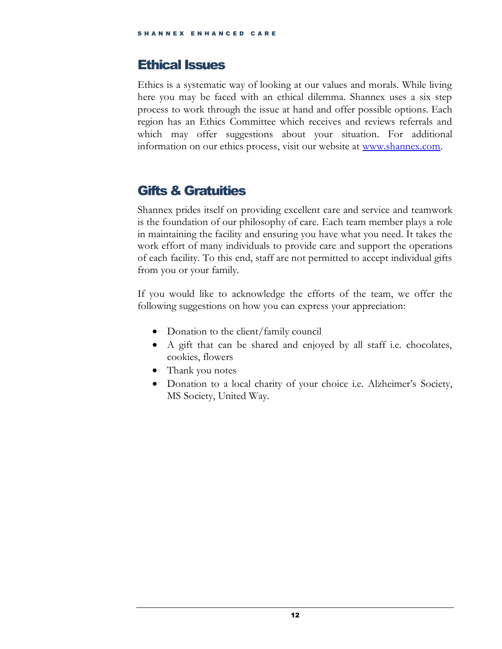### <span id="page-14-0"></span>Ethical Issues

Ethics is a systematic way of looking at our values and morals. While living here you may be faced with an ethical dilemma. Shannex uses a six step process to work through the issue at hand and offer possible options. Each region has an Ethics Committee which receives and reviews referrals and which may offer suggestions about your situation. For additional information on our ethics process, visit our website at [www.shannex.com.](http://www.shannex.com/)

## <span id="page-14-1"></span>Gifts & Gratuities

Shannex prides itself on providing excellent care and service and teamwork is the foundation of our philosophy of care. Each team member plays a role in maintaining the facility and ensuring you have what you need. It takes the work effort of many individuals to provide care and support the operations of each facility. To this end, staff are not permitted to accept individual gifts from you or your family.

If you would like to acknowledge the efforts of the team, we offer the following suggestions on how you can express your appreciation:

- Donation to the client/family council
- A gift that can be shared and enjoyed by all staff i.e. chocolates, cookies, flowers
- Thank you notes
- Donation to a local charity of your choice i.e. Alzheimer's Society, MS Society, United Way.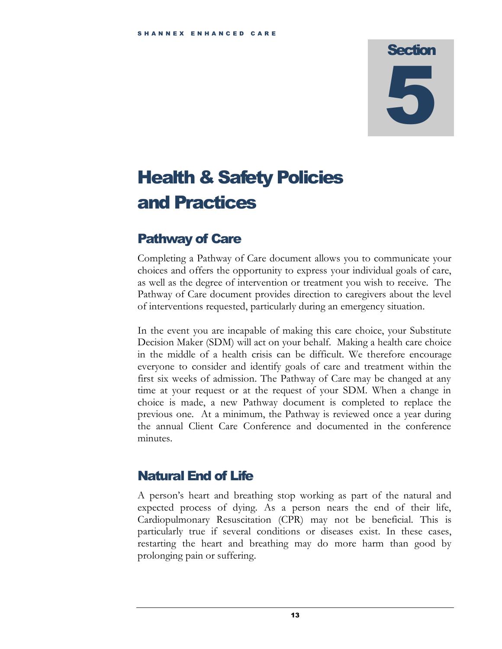# <span id="page-15-0"></span>Health & Safety Policies and Practices

## <span id="page-15-1"></span>Pathway of Care

Completing a Pathway of Care document allows you to communicate your choices and offers the opportunity to express your individual goals of care, as well as the degree of intervention or treatment you wish to receive. The Pathway of Care document provides direction to caregivers about the level of interventions requested, particularly during an emergency situation.

In the event you are incapable of making this care choice, your Substitute Decision Maker (SDM) will act on your behalf. Making a health care choice in the middle of a health crisis can be difficult. We therefore encourage everyone to consider and identify goals of care and treatment within the first six weeks of admission. The Pathway of Care may be changed at any time at your request or at the request of your SDM. When a change in choice is made, a new Pathway document is completed to replace the previous one. At a minimum, the Pathway is reviewed once a year during the annual Client Care Conference and documented in the conference minutes.

## <span id="page-15-2"></span>Natural End of Life

A person's heart and breathing stop working as part of the natural and expected process of dying. As a person nears the end of their life, Cardiopulmonary Resuscitation (CPR) may not be beneficial. This is particularly true if several conditions or diseases exist. In these cases, restarting the heart and breathing may do more harm than good by prolonging pain or suffering.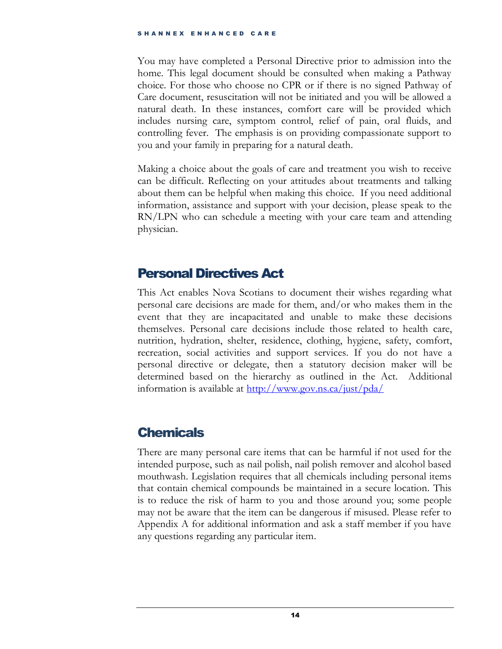You may have completed a Personal Directive prior to admission into the home. This legal document should be consulted when making a Pathway choice. For those who choose no CPR or if there is no signed Pathway of Care document, resuscitation will not be initiated and you will be allowed a natural death. In these instances, comfort care will be provided which includes nursing care, symptom control, relief of pain, oral fluids, and controlling fever. The emphasis is on providing compassionate support to you and your family in preparing for a natural death.

Making a choice about the goals of care and treatment you wish to receive can be difficult. Reflecting on your attitudes about treatments and talking about them can be helpful when making this choice. If you need additional information, assistance and support with your decision, please speak to the RN/LPN who can schedule a meeting with your care team and attending physician.

## <span id="page-16-0"></span>Personal Directives Act

This Act enables Nova Scotians to document their wishes regarding what personal care decisions are made for them, and/or who makes them in the event that they are incapacitated and unable to make these decisions themselves. Personal care decisions include those related to health care, nutrition, hydration, shelter, residence, clothing, hygiene, safety, comfort, recreation, social activities and support services. If you do not have a personal directive or delegate, then a statutory decision maker will be determined based on the hierarchy as outlined in the Act. Additional information is available at<http://www.gov.ns.ca/just/pda/>

## <span id="page-16-1"></span>**Chemicals**

There are many personal care items that can be harmful if not used for the intended purpose, such as nail polish, nail polish remover and alcohol based mouthwash. Legislation requires that all chemicals including personal items that contain chemical compounds be maintained in a secure location. This is to reduce the risk of harm to you and those around you; some people may not be aware that the item can be dangerous if misused. Please refer to Appendix A for additional information and ask a staff member if you have any questions regarding any particular item.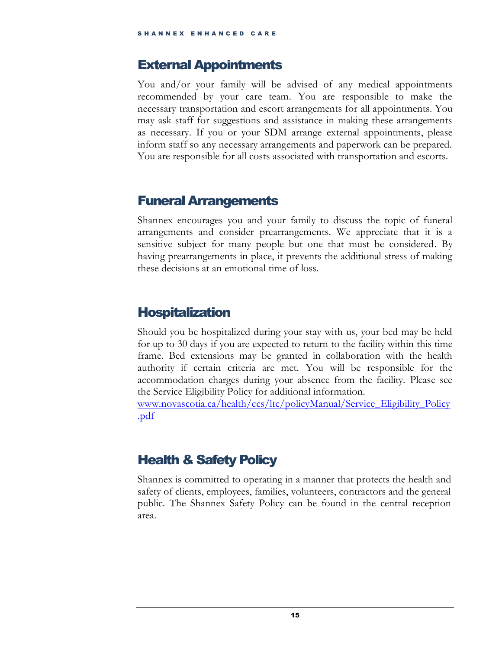### <span id="page-17-0"></span>External Appointments

You and/or your family will be advised of any medical appointments recommended by your care team. You are responsible to make the necessary transportation and escort arrangements for all appointments. You may ask staff for suggestions and assistance in making these arrangements as necessary. If you or your SDM arrange external appointments, please inform staff so any necessary arrangements and paperwork can be prepared. You are responsible for all costs associated with transportation and escorts.

## <span id="page-17-1"></span>Funeral Arrangements

Shannex encourages you and your family to discuss the topic of funeral arrangements and consider prearrangements. We appreciate that it is a sensitive subject for many people but one that must be considered. By having prearrangements in place, it prevents the additional stress of making these decisions at an emotional time of loss.

## <span id="page-17-2"></span>Hospitalization

Should you be hospitalized during your stay with us, your bed may be held for up to 30 days if you are expected to return to the facility within this time frame. Bed extensions may be granted in collaboration with the health authority if certain criteria are met. You will be responsible for the accommodation charges during your absence from the facility. Please see the Service Eligibility Policy for additional information.

[www.novascotia.ca/health/ccs/ltc/policyManual/Service\\_Eligibility\\_Policy](http://www.novascotia.ca/health/ccs/ltc/policyManual/Service_Eligibility_Policy.pdf) [.pdf](http://www.novascotia.ca/health/ccs/ltc/policyManual/Service_Eligibility_Policy.pdf)

## <span id="page-17-3"></span>Health & Safety Policy

Shannex is committed to operating in a manner that protects the health and safety of clients, employees, families, volunteers, contractors and the general public. The Shannex Safety Policy can be found in the central reception area.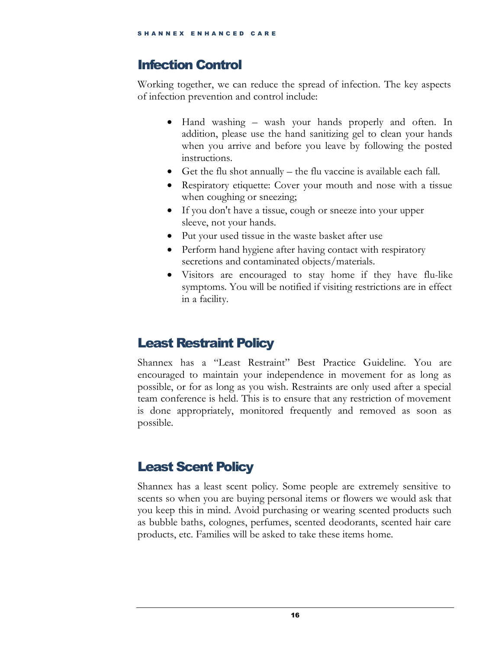## <span id="page-18-0"></span>Infection Control

Working together, we can reduce the spread of infection. The key aspects of infection prevention and control include:

- Hand washing wash your hands properly and often. In addition, please use the hand sanitizing gel to clean your hands when you arrive and before you leave by following the posted instructions.
- Get the flu shot annually  $-$  the flu vaccine is available each fall.
- Respiratory etiquette: Cover your mouth and nose with a tissue when coughing or sneezing;
- If you don't have a tissue, cough or sneeze into your upper sleeve, not your hands.
- Put your used tissue in the waste basket after use
- Perform hand hygiene after having contact with respiratory secretions and contaminated objects/materials.
- Visitors are encouraged to stay home if they have flu-like symptoms. You will be notified if visiting restrictions are in effect in a facility.

## <span id="page-18-1"></span>Least Restraint Policy

Shannex has a "Least Restraint" Best Practice Guideline. You are encouraged to maintain your independence in movement for as long as possible, or for as long as you wish. Restraints are only used after a special team conference is held. This is to ensure that any restriction of movement is done appropriately, monitored frequently and removed as soon as possible.

## <span id="page-18-2"></span>Least Scent Policy

Shannex has a least scent policy. Some people are extremely sensitive to scents so when you are buying personal items or flowers we would ask that you keep this in mind. Avoid purchasing or wearing scented products such as bubble baths, colognes, perfumes, scented deodorants, scented hair care products, etc. Families will be asked to take these items home.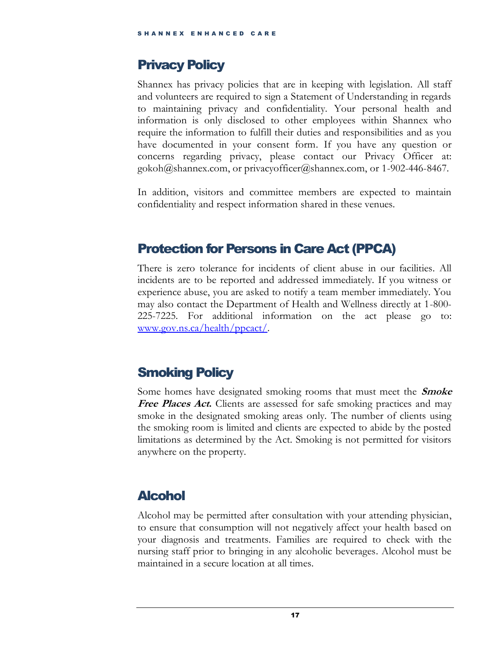## <span id="page-19-0"></span>Privacy Policy

Shannex has privacy policies that are in keeping with legislation. All staff and volunteers are required to sign a Statement of Understanding in regards to maintaining privacy and confidentiality. Your personal health and information is only disclosed to other employees within Shannex who require the information to fulfill their duties and responsibilities and as you have documented in your consent form. If you have any question or concerns regarding privacy, please contact our Privacy Officer at: gokoh@shannex.com, or privacyofficer@shannex.com, or 1-902-446-8467.

In addition, visitors and committee members are expected to maintain confidentiality and respect information shared in these venues.

## <span id="page-19-1"></span>Protection for Persons in Care Act (PPCA)

There is zero tolerance for incidents of client abuse in our facilities. All incidents are to be reported and addressed immediately. If you witness or experience abuse, you are asked to notify a team member immediately. You may also contact the Department of Health and Wellness directly at 1-800- 225-7225. For additional information on the act please go to: [www.gov.ns.ca/health/ppcact/.](http://www.gov.ns.ca/health/ppcact/)

## <span id="page-19-2"></span>Smoking Policy

Some homes have designated smoking rooms that must meet the **Smoke**  Free Places Act. Clients are assessed for safe smoking practices and may smoke in the designated smoking areas only. The number of clients using the smoking room is limited and clients are expected to abide by the posted limitations as determined by the Act. Smoking is not permitted for visitors anywhere on the property.

## <span id="page-19-3"></span>Alcohol

Alcohol may be permitted after consultation with your attending physician, to ensure that consumption will not negatively affect your health based on your diagnosis and treatments. Families are required to check with the nursing staff prior to bringing in any alcoholic beverages. Alcohol must be maintained in a secure location at all times.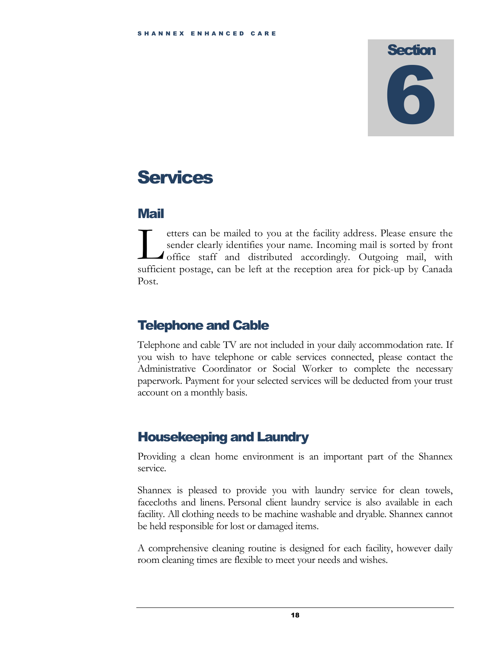# <span id="page-20-0"></span>**Services**

## <span id="page-20-1"></span>Mail

etters can be mailed to you at the facility address. Please ensure the sender clearly identifies your name. Incoming mail is sorted by front office staff and distributed accordingly. Outgoing mail, with tters can be mailed to you at the facility address. Please ensure the sender clearly identifies your name. Incoming mail is sorted by front office staff and distributed accordingly. Outgoing mail, with sufficient postage, Post.

## <span id="page-20-2"></span>Telephone and Cable

Telephone and cable TV are not included in your daily accommodation rate. If you wish to have telephone or cable services connected, please contact the Administrative Coordinator or Social Worker to complete the necessary paperwork. Payment for your selected services will be deducted from your trust account on a monthly basis.

## <span id="page-20-3"></span>Housekeeping and Laundry

Providing a clean home environment is an important part of the Shannex service.

Shannex is pleased to provide you with laundry service for clean towels, facecloths and linens. Personal client laundry service is also available in each facility. All clothing needs to be machine washable and dryable. Shannex cannot be held responsible for lost or damaged items.

A comprehensive cleaning routine is designed for each facility, however daily room cleaning times are flexible to meet your needs and wishes.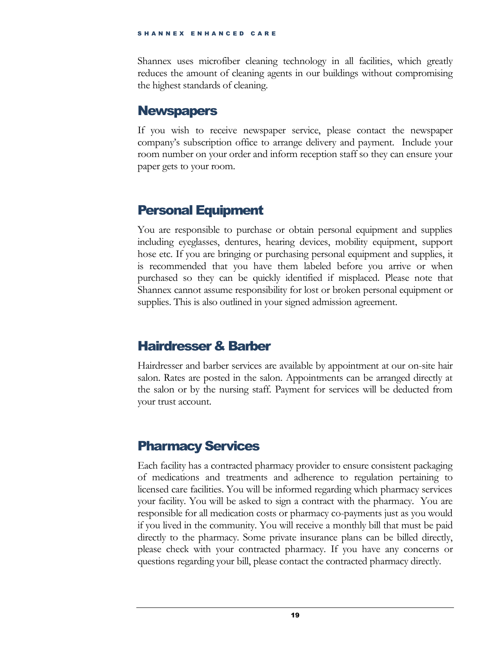Shannex uses microfiber cleaning technology in all facilities, which greatly reduces the amount of cleaning agents in our buildings without compromising the highest standards of cleaning.

### <span id="page-21-0"></span>**Newspapers**

If you wish to receive newspaper service, please contact the newspaper company's subscription office to arrange delivery and payment. Include your room number on your order and inform reception staff so they can ensure your paper gets to your room.

## <span id="page-21-1"></span>Personal Equipment

You are responsible to purchase or obtain personal equipment and supplies including eyeglasses, dentures, hearing devices, mobility equipment, support hose etc. If you are bringing or purchasing personal equipment and supplies, it is recommended that you have them labeled before you arrive or when purchased so they can be quickly identified if misplaced. Please note that Shannex cannot assume responsibility for lost or broken personal equipment or supplies. This is also outlined in your signed admission agreement.

## <span id="page-21-2"></span>Hairdresser & Barber

Hairdresser and barber services are available by appointment at our on-site hair salon. Rates are posted in the salon. Appointments can be arranged directly at the salon or by the nursing staff. Payment for services will be deducted from your trust account.

## <span id="page-21-3"></span>Pharmacy Services

Each facility has a contracted pharmacy provider to ensure consistent packaging of medications and treatments and adherence to regulation pertaining to licensed care facilities. You will be informed regarding which pharmacy services your facility. You will be asked to sign a contract with the pharmacy. You are responsible for all medication costs or pharmacy co-payments just as you would if you lived in the community. You will receive a monthly bill that must be paid directly to the pharmacy. Some private insurance plans can be billed directly, please check with your contracted pharmacy. If you have any concerns or questions regarding your bill, please contact the contracted pharmacy directly.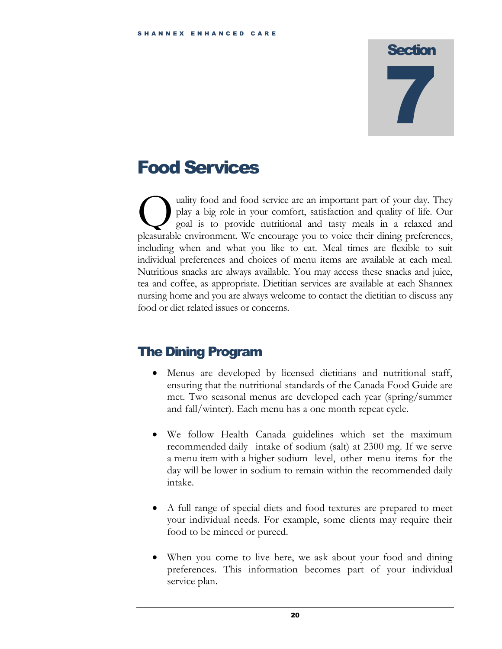## <span id="page-22-0"></span>Food Services

uality food and food service are an important part of your day. They play a big role in your comfort, satisfaction and quality of life. Our goal is to provide nutritional and tasty meals in a relaxed and ality food and food service are an important part of your day. They play a big role in your comfort, satisfaction and quality of life. Our goal is to provide nutritional and tasty meals in a relaxed and pleasurable environ including when and what you like to eat. Meal times are flexible to suit individual preferences and choices of menu items are available at each meal. Nutritious snacks are always available. You may access these snacks and juice, tea and coffee, as appropriate. Dietitian services are available at each Shannex nursing home and you are always welcome to contact the dietitian to discuss any food or diet related issues or concerns.

## <span id="page-22-1"></span>The Dining Program

- Menus are developed by licensed dietitians and nutritional staff, ensuring that the nutritional standards of the Canada Food Guide are met. Two seasonal menus are developed each year (spring/summer and fall/winter). Each menu has a one month repeat cycle.
- We follow Health Canada guidelines which set the maximum recommended daily intake of sodium (salt) at 2300 mg. If we serve a menu item with a higher sodium level, other menu items for the day will be lower in sodium to remain within the recommended daily intake.
- A full range of special diets and food textures are prepared to meet your individual needs. For example, some clients may require their food to be minced or pureed.
- When you come to live here, we ask about your food and dining preferences. This information becomes part of your individual service plan.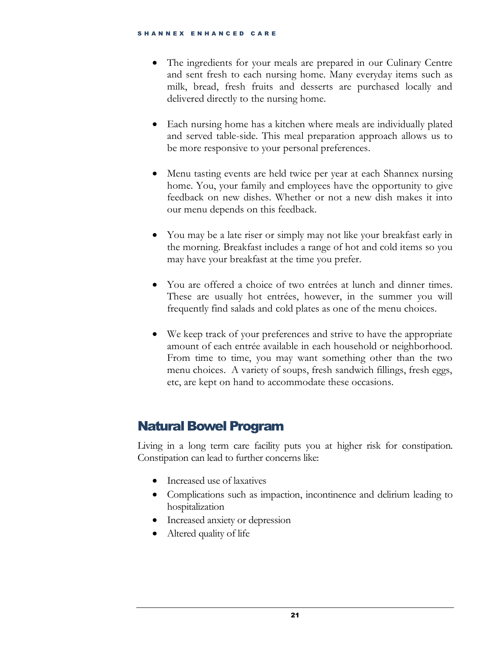- The ingredients for your meals are prepared in our Culinary Centre and sent fresh to each nursing home. Many everyday items such as milk, bread, fresh fruits and desserts are purchased locally and delivered directly to the nursing home.
- Each nursing home has a kitchen where meals are individually plated and served table-side. This meal preparation approach allows us to be more responsive to your personal preferences.
- Menu tasting events are held twice per year at each Shannex nursing home. You, your family and employees have the opportunity to give feedback on new dishes. Whether or not a new dish makes it into our menu depends on this feedback.
- You may be a late riser or simply may not like your breakfast early in the morning. Breakfast includes a range of hot and cold items so you may have your breakfast at the time you prefer.
- You are offered a choice of two entrées at lunch and dinner times. These are usually hot entrées, however, in the summer you will frequently find salads and cold plates as one of the menu choices.
- We keep track of your preferences and strive to have the appropriate amount of each entrée available in each household or neighborhood. From time to time, you may want something other than the two menu choices. A variety of soups, fresh sandwich fillings, fresh eggs, etc, are kept on hand to accommodate these occasions.

## <span id="page-23-0"></span>Natural Bowel Program

Living in a long term care facility puts you at higher risk for constipation. Constipation can lead to further concerns like:

- Increased use of laxatives
- Complications such as impaction, incontinence and delirium leading to hospitalization
- Increased anxiety or depression
- Altered quality of life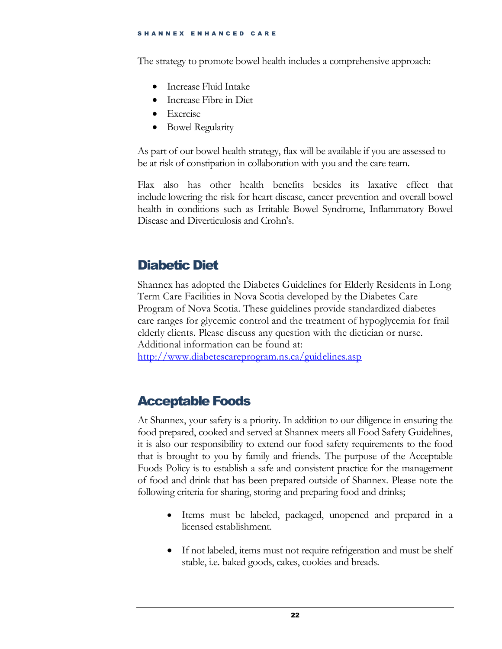The strategy to promote bowel health includes a comprehensive approach:

- Increase Fluid Intake
- Increase Fibre in Diet
- Exercise
- Bowel Regularity

As part of our bowel health strategy, flax will be available if you are assessed to be at risk of constipation in collaboration with you and the care team.

Flax also has other health benefits besides its laxative effect that include lowering the risk for heart disease, cancer prevention and overall bowel health in conditions such as Irritable Bowel Syndrome, Inflammatory Bowel Disease and Diverticulosis and Crohn's.

## <span id="page-24-0"></span>Diabetic Diet

Shannex has adopted the Diabetes Guidelines for Elderly Residents in Long Term Care Facilities in Nova Scotia developed by the Diabetes Care Program of Nova Scotia. These guidelines provide standardized diabetes care ranges for glycemic control and the treatment of hypoglycemia for frail elderly clients. Please discuss any question with the dietician or nurse. Additional information can be found at:

<http://www.diabetescareprogram.ns.ca/guidelines.asp>

## <span id="page-24-1"></span>Acceptable Foods

At Shannex, your safety is a priority. In addition to our diligence in ensuring the food prepared, cooked and served at Shannex meets all Food Safety Guidelines, it is also our responsibility to extend our food safety requirements to the food that is brought to you by family and friends. The purpose of the Acceptable Foods Policy is to establish a safe and consistent practice for the management of food and drink that has been prepared outside of Shannex. Please note the following criteria for sharing, storing and preparing food and drinks;

- Items must be labeled, packaged, unopened and prepared in a licensed establishment.
- If not labeled, items must not require refrigeration and must be shelf stable, i.e. baked goods, cakes, cookies and breads.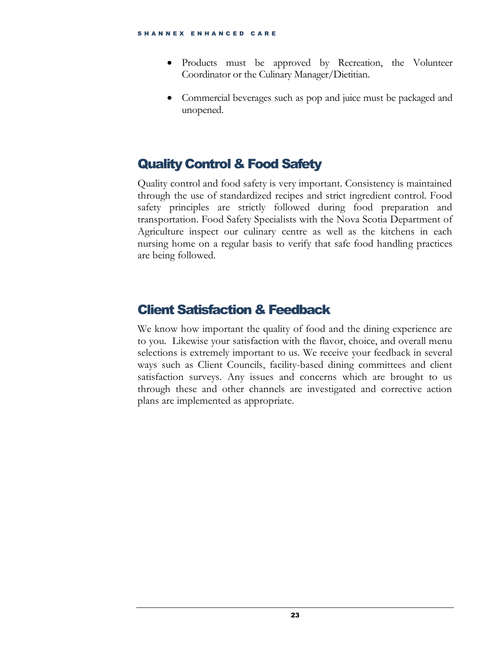- Products must be approved by Recreation, the Volunteer Coordinator or the Culinary Manager/Dietitian.
- Commercial beverages such as pop and juice must be packaged and unopened.

## <span id="page-25-0"></span>Quality Control & Food Safety

Quality control and food safety is very important. Consistency is maintained through the use of standardized recipes and strict ingredient control. Food safety principles are strictly followed during food preparation and transportation. Food Safety Specialists with the Nova Scotia Department of Agriculture inspect our culinary centre as well as the kitchens in each nursing home on a regular basis to verify that safe food handling practices are being followed.

## <span id="page-25-1"></span>Client Satisfaction & Feedback

We know how important the quality of food and the dining experience are to you. Likewise your satisfaction with the flavor, choice, and overall menu selections is extremely important to us. We receive your feedback in several ways such as Client Councils, facility-based dining committees and client satisfaction surveys. Any issues and concerns which are brought to us through these and other channels are investigated and corrective action plans are implemented as appropriate.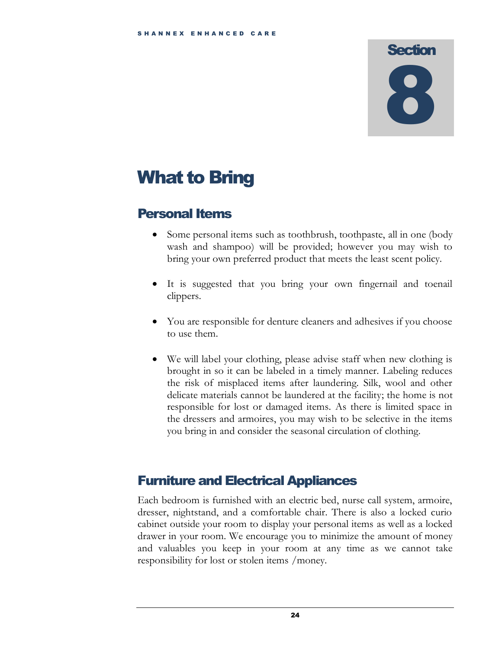# <span id="page-26-0"></span>What to Bring

## <span id="page-26-1"></span>Personal Items

- Some personal items such as toothbrush, toothpaste, all in one (body wash and shampoo) will be provided; however you may wish to bring your own preferred product that meets the least scent policy.
- It is suggested that you bring your own fingernail and toenail clippers.
- You are responsible for denture cleaners and adhesives if you choose to use them.
- We will label your clothing, please advise staff when new clothing is brought in so it can be labeled in a timely manner. Labeling reduces the risk of misplaced items after laundering. Silk, wool and other delicate materials cannot be laundered at the facility; the home is not responsible for lost or damaged items. As there is limited space in the dressers and armoires, you may wish to be selective in the items you bring in and consider the seasonal circulation of clothing.

## <span id="page-26-2"></span>Furniture and Electrical Appliances

Each bedroom is furnished with an electric bed, nurse call system, armoire, dresser, nightstand, and a comfortable chair. There is also a locked curio cabinet outside your room to display your personal items as well as a locked drawer in your room. We encourage you to minimize the amount of money and valuables you keep in your room at any time as we cannot take responsibility for lost or stolen items /money.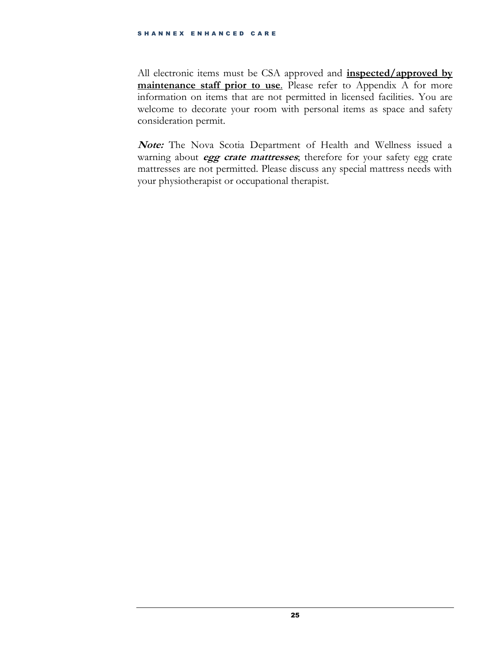All electronic items must be CSA approved and **inspected/approved by maintenance** staff prior to use. Please refer to Appendix A for more information on items that are not permitted in licensed facilities. You are welcome to decorate your room with personal items as space and safety consideration permit.

**Note:** The Nova Scotia Department of Health and Wellness issued a warning about **egg crate mattresses**; therefore for your safety egg crate mattresses are not permitted. Please discuss any special mattress needs with your physiotherapist or occupational therapist.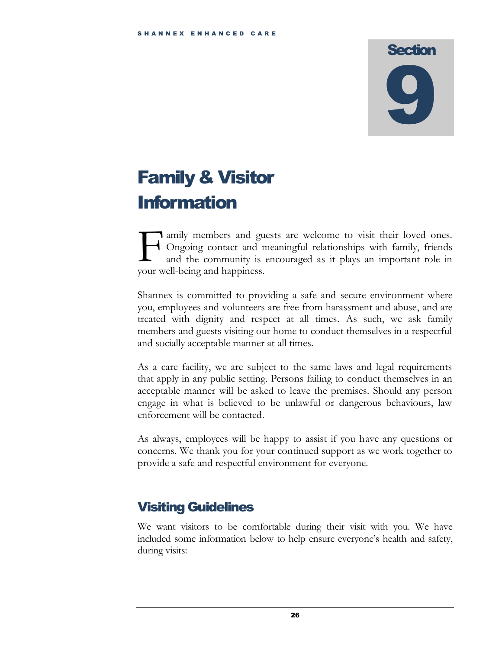# <span id="page-28-0"></span>Family & Visitor **Information**

**T** amily members and guests are welcome to visit their loved ones. Ongoing contact and meaningful relationships with family, friends and the community is encouraged as it plays an important role in **F** amily members and guess and guesselve and the community is exported with and the community is exponentially solve and happiness.

Shannex is committed to providing a safe and secure environment where you, employees and volunteers are free from harassment and abuse, and are treated with dignity and respect at all times. As such, we ask family members and guests visiting our home to conduct themselves in a respectful and socially acceptable manner at all times.

As a care facility, we are subject to the same laws and legal requirements that apply in any public setting. Persons failing to conduct themselves in an acceptable manner will be asked to leave the premises. Should any person engage in what is believed to be unlawful or dangerous behaviours, law enforcement will be contacted.

As always, employees will be happy to assist if you have any questions or concerns. We thank you for your continued support as we work together to provide a safe and respectful environment for everyone.

## <span id="page-28-1"></span>Visiting Guidelines

We want visitors to be comfortable during their visit with you. We have included some information below to help ensure everyone's health and safety, during visits: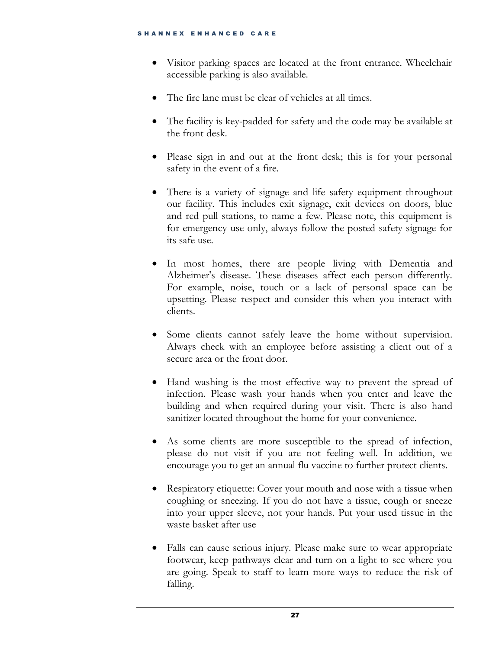- Visitor parking spaces are located at the front entrance. Wheelchair accessible parking is also available.
- The fire lane must be clear of vehicles at all times.
- The facility is key-padded for safety and the code may be available at the front desk.
- Please sign in and out at the front desk; this is for your personal safety in the event of a fire.
- There is a variety of signage and life safety equipment throughout our facility. This includes exit signage, exit devices on doors, blue and red pull stations, to name a few. Please note, this equipment is for emergency use only, always follow the posted safety signage for its safe use.
- In most homes, there are people living with Dementia and Alzheimer's disease. These diseases affect each person differently. For example, noise, touch or a lack of personal space can be upsetting. Please respect and consider this when you interact with clients.
- Some clients cannot safely leave the home without supervision. Always check with an employee before assisting a client out of a secure area or the front door.
- Hand washing is the most effective way to prevent the spread of infection. Please wash your hands when you enter and leave the building and when required during your visit. There is also hand sanitizer located throughout the home for your convenience.
- As some clients are more susceptible to the spread of infection, please do not visit if you are not feeling well. In addition, we encourage you to get an annual flu vaccine to further protect clients.
- Respiratory etiquette: Cover your mouth and nose with a tissue when coughing or sneezing. If you do not have a tissue, cough or sneeze into your upper sleeve, not your hands. Put your used tissue in the waste basket after use
- Falls can cause serious injury. Please make sure to wear appropriate footwear, keep pathways clear and turn on a light to see where you are going. Speak to staff to learn more ways to reduce the risk of falling.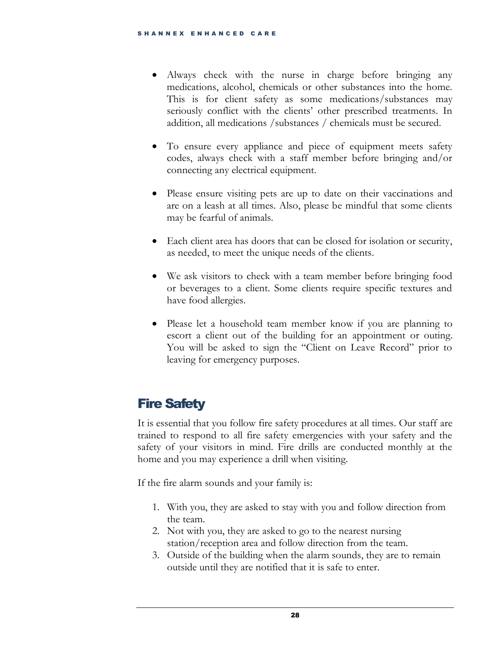- Always check with the nurse in charge before bringing any medications, alcohol, chemicals or other substances into the home. This is for client safety as some medications/substances may seriously conflict with the clients' other prescribed treatments. In addition, all medications /substances / chemicals must be secured.
- To ensure every appliance and piece of equipment meets safety codes, always check with a staff member before bringing and/or connecting any electrical equipment.
- Please ensure visiting pets are up to date on their vaccinations and are on a leash at all times. Also, please be mindful that some clients may be fearful of animals.
- Each client area has doors that can be closed for isolation or security, as needed, to meet the unique needs of the clients.
- We ask visitors to check with a team member before bringing food or beverages to a client. Some clients require specific textures and have food allergies.
- Please let a household team member know if you are planning to escort a client out of the building for an appointment or outing. You will be asked to sign the "Client on Leave Record" prior to leaving for emergency purposes.

## <span id="page-30-0"></span>Fire Safety

It is essential that you follow fire safety procedures at all times. Our staff are trained to respond to all fire safety emergencies with your safety and the safety of your visitors in mind. Fire drills are conducted monthly at the home and you may experience a drill when visiting.

If the fire alarm sounds and your family is:

- 1. With you, they are asked to stay with you and follow direction from the team.
- 2. Not with you, they are asked to go to the nearest nursing station/reception area and follow direction from the team.
- 3. Outside of the building when the alarm sounds, they are to remain outside until they are notified that it is safe to enter.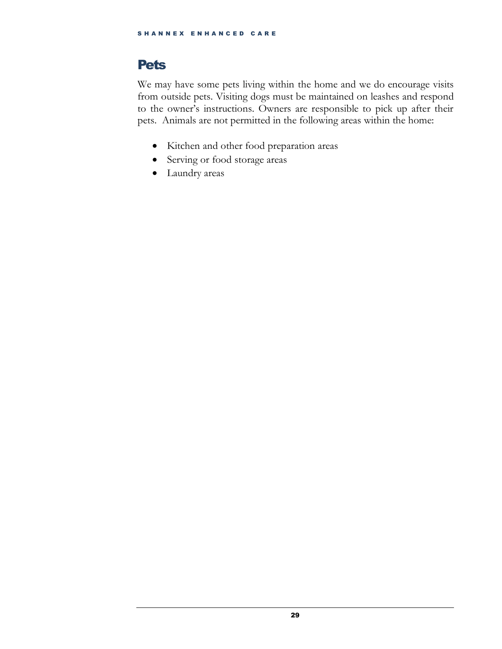## <span id="page-31-0"></span>Pets

We may have some pets living within the home and we do encourage visits from outside pets. Visiting dogs must be maintained on leashes and respond to the owner's instructions. Owners are responsible to pick up after their pets. Animals are not permitted in the following areas within the home:

- Kitchen and other food preparation areas
- Serving or food storage areas
- Laundry areas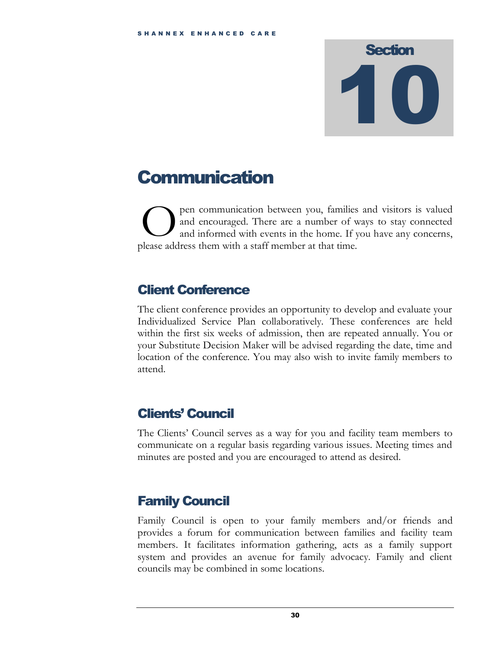## <span id="page-32-0"></span>Communication

pen communication between you, families and visitors is valued and encouraged. There are a number of ways to stay connected and informed with events in the home. If you have any concerns, pen communication between you, families<br>and encouraged. There are a number of v<br>please address them with a staff member at that time.

## <span id="page-32-1"></span>Client Conference

The client conference provides an opportunity to develop and evaluate your Individualized Service Plan collaboratively. These conferences are held within the first six weeks of admission, then are repeated annually. You or your Substitute Decision Maker will be advised regarding the date, time and location of the conference. You may also wish to invite family members to attend.

## <span id="page-32-2"></span>Clients' Council

The Clients' Council serves as a way for you and facility team members to communicate on a regular basis regarding various issues. Meeting times and minutes are posted and you are encouraged to attend as desired.

## <span id="page-32-3"></span>Family Council

Family Council is open to your family members and/or friends and provides a forum for communication between families and facility team members. It facilitates information gathering, acts as a family support system and provides an avenue for family advocacy. Family and client councils may be combined in some locations.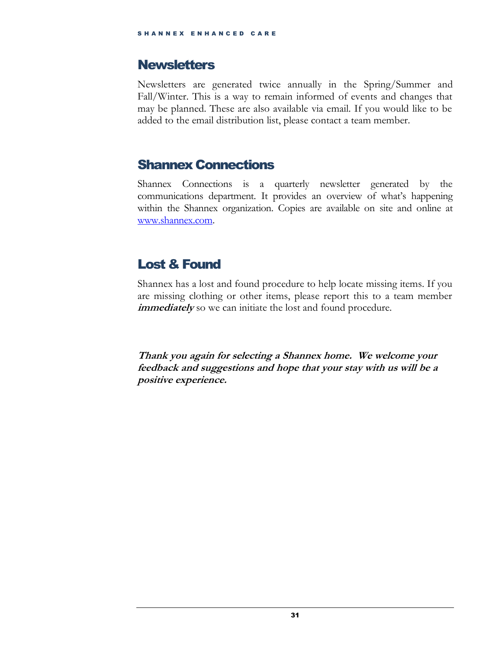### <span id="page-33-0"></span>**Newsletters**

Newsletters are generated twice annually in the Spring/Summer and Fall/Winter. This is a way to remain informed of events and changes that may be planned. These are also available via email. If you would like to be added to the email distribution list, please contact a team member.

## <span id="page-33-1"></span>Shannex Connections

Shannex Connections is a quarterly newsletter generated by the communications department. It provides an overview of what's happening within the Shannex organization. Copies are available on site and online at [www.shannex.com.](http://www.shannex.com/)

## <span id="page-33-2"></span>Lost & Found

Shannex has a lost and found procedure to help locate missing items. If you are missing clothing or other items, please report this to a team member *immediately* so we can initiate the lost and found procedure.

**Thank you again for selecting a Shannex home. We welcome your feedback and suggestions and hope that your stay with us will be a positive experience.**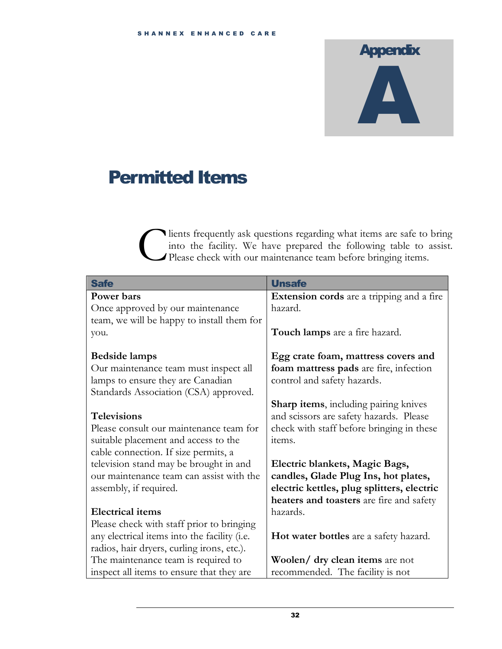# **Appendix** A

## <span id="page-34-0"></span>Permitted Items

lients frequently ask questions regarding what items are safe to bring into the facility. We have prepared the following table to assist. Please check with our maintenance team before bringing items. C

| <b>Safe</b>                                  | <b>Unsafe</b>                                |
|----------------------------------------------|----------------------------------------------|
| Power bars                                   | Extension cords are a tripping and a fire    |
| Once approved by our maintenance             | hazard.                                      |
| team, we will be happy to install them for   |                                              |
| you.                                         | Touch lamps are a fire hazard.               |
|                                              |                                              |
| <b>Bedside lamps</b>                         | Egg crate foam, mattress covers and          |
| Our maintenance team must inspect all        | foam mattress pads are fire, infection       |
| lamps to ensure they are Canadian            | control and safety hazards.                  |
| Standards Association (CSA) approved.        |                                              |
|                                              | <b>Sharp items, including pairing knives</b> |
| <b>Televisions</b>                           | and scissors are safety hazards. Please      |
| Please consult our maintenance team for      | check with staff before bringing in these    |
| suitable placement and access to the         | items.                                       |
| cable connection. If size permits, a         |                                              |
| television stand may be brought in and       | Electric blankets, Magic Bags,               |
| our maintenance team can assist with the     | candles, Glade Plug Ins, hot plates,         |
| assembly, if required.                       | electric kettles, plug splitters, electric   |
|                                              | heaters and toasters are fire and safety     |
| <b>Electrical items</b>                      | hazards.                                     |
| Please check with staff prior to bringing    |                                              |
| any electrical items into the facility (i.e. | Hot water bottles are a safety hazard.       |
| radios, hair dryers, curling irons, etc.).   |                                              |
| The maintenance team is required to          | Woolen/ dry clean items are not              |
| inspect all items to ensure that they are    | recommended. The facility is not             |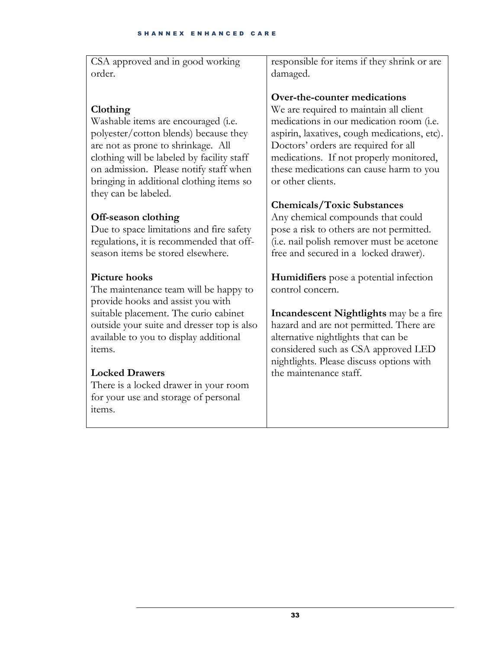CSA approved and in good working order. responsible for items if they shrink or are damaged.

### **Clothing**

Washable items are encouraged (i.e. polyester/cotton blends) because they are not as prone to shrinkage. All clothing will be labeled by facility staff on admission. Please notify staff when bringing in additional clothing items so they can be labeled.

#### **Off-season clothing**

Due to space limitations and fire safety regulations, it is recommended that offseason items be stored elsewhere.

#### **Picture hooks**

The maintenance team will be happy to provide hooks and assist you with suitable placement. The curio cabinet outside your suite and dresser top is also available to you to display additional items.

#### **Locked Drawers**

There is a locked drawer in your room for your use and storage of personal items.

#### **Over-the-counter medications**

We are required to maintain all client medications in our medication room (i.e. aspirin, laxatives, cough medications, etc). Doctors' orders are required for all medications. If not properly monitored, these medications can cause harm to you or other clients.

#### **Chemicals/Toxic Substances**

Any chemical compounds that could pose a risk to others are not permitted. (i.e. nail polish remover must be acetone free and secured in a locked drawer).

**Humidifiers** pose a potential infection control concern.

**Incandescent Nightlights** may be a fire hazard and are not permitted. There are alternative nightlights that can be considered such as CSA approved LED nightlights. Please discuss options with the maintenance staff.